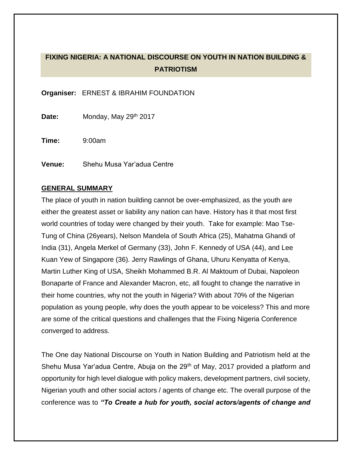# **FIXING NIGERIA: A NATIONAL DISCOURSE ON YOUTH IN NATION BUILDING & PATRIOTISM**

**Organiser:** ERNEST & IBRAHIM FOUNDATION

**Date:** Monday, May 29th 2017

**Time:** 9:00am

**Venue:** Shehu Musa Yar'adua Centre

#### **GENERAL SUMMARY**

The place of youth in nation building cannot be over-emphasized, as the youth are either the greatest asset or liability any nation can have. History has it that most first world countries of today were changed by their youth. Take for example: Mao Tse-Tung of China (26years), Nelson Mandela of South Africa (25), Mahatma Ghandi of India (31), Angela Merkel of Germany (33), John F. Kennedy of USA (44), and Lee Kuan Yew of Singapore (36). Jerry Rawlings of Ghana, Uhuru Kenyatta of Kenya, Martin Luther King of USA, Sheikh Mohammed B.R. Al Maktoum of Dubai, Napoleon Bonaparte of France and Alexander Macron, etc, all fought to change the narrative in their home countries, why not the youth in Nigeria? With about 70% of the Nigerian population as young people, why does the youth appear to be voiceless? This and more are some of the critical questions and challenges that the Fixing Nigeria Conference converged to address.

The One day National Discourse on Youth in Nation Building and Patriotism held at the Shehu Musa Yar'adua Centre, Abuja on the 29<sup>th</sup> of May, 2017 provided a platform and opportunity for high level dialogue with policy makers, development partners, civil society, Nigerian youth and other social actors / agents of change etc. The overall purpose of the conference was to *"To Create a hub for youth, social actors/agents of change and*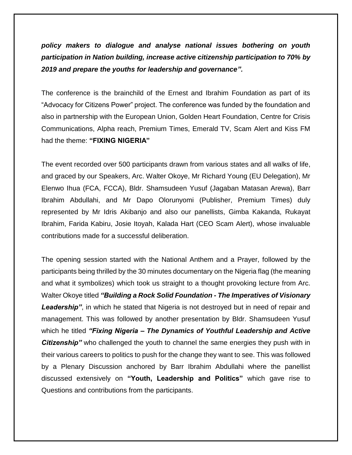*policy makers to dialogue and analyse national issues bothering on youth participation in Nation building, increase active citizenship participation to 70% by 2019 and prepare the youths for leadership and governance".*

The conference is the brainchild of the Ernest and Ibrahim Foundation as part of its "Advocacy for Citizens Power" project. The conference was funded by the foundation and also in partnership with the European Union, Golden Heart Foundation, Centre for Crisis Communications, Alpha reach, Premium Times, Emerald TV, Scam Alert and Kiss FM had the theme: **"FIXING NIGERIA"**

The event recorded over 500 participants drawn from various states and all walks of life, and graced by our Speakers, Arc. Walter Okoye, Mr Richard Young (EU Delegation), Mr Elenwo Ihua (FCA, FCCA), Bldr. Shamsudeen Yusuf (Jagaban Matasan Arewa), Barr Ibrahim Abdullahi, and Mr Dapo Olorunyomi (Publisher, Premium Times) duly represented by Mr Idris Akibanjo and also our panellists, Gimba Kakanda, Rukayat Ibrahim, Farida Kabiru, Josie Itoyah, Kalada Hart (CEO Scam Alert), whose invaluable contributions made for a successful deliberation.

The opening session started with the National Anthem and a Prayer, followed by the participants being thrilled by the 30 minutes documentary on the Nigeria flag (the meaning and what it symbolizes) which took us straight to a thought provoking lecture from Arc. Walter Okoye titled *"Building a Rock Solid Foundation - The Imperatives of Visionary*  Leadership", in which he stated that Nigeria is not destroyed but in need of repair and management. This was followed by another presentation by Bldr. Shamsudeen Yusuf which he titled *"Fixing Nigeria – The Dynamics of Youthful Leadership and Active Citizenship"* who challenged the youth to channel the same energies they push with in their various careers to politics to push for the change they want to see. This was followed by a Plenary Discussion anchored by Barr Ibrahim Abdullahi where the panellist discussed extensively on **"Youth, Leadership and Politics"** which gave rise to Questions and contributions from the participants.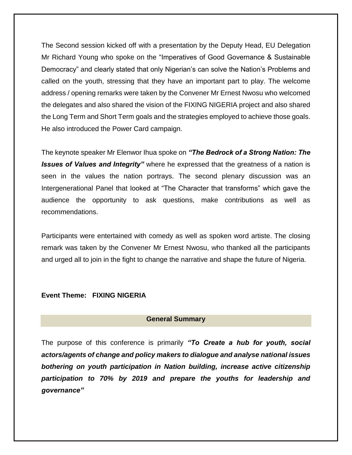The Second session kicked off with a presentation by the Deputy Head, EU Delegation Mr Richard Young who spoke on the "Imperatives of Good Governance & Sustainable Democracy" and clearly stated that only Nigerian's can solve the Nation's Problems and called on the youth, stressing that they have an important part to play. The welcome address / opening remarks were taken by the Convener Mr Ernest Nwosu who welcomed the delegates and also shared the vision of the FIXING NIGERIA project and also shared the Long Term and Short Term goals and the strategies employed to achieve those goals. He also introduced the Power Card campaign.

The keynote speaker Mr Elenwor Ihua spoke on *"The Bedrock of a Strong Nation: The Issues of Values and Integrity"* where he expressed that the greatness of a nation is seen in the values the nation portrays. The second plenary discussion was an Intergenerational Panel that looked at "The Character that transforms" which gave the audience the opportunity to ask questions, make contributions as well as recommendations.

Participants were entertained with comedy as well as spoken word artiste. The closing remark was taken by the Convener Mr Ernest Nwosu, who thanked all the participants and urged all to join in the fight to change the narrative and shape the future of Nigeria.

#### **Event Theme: FIXING NIGERIA**

#### **General Summary**

The purpose of this conference is primarily *"To Create a hub for youth, social actors/agents of change and policy makers to dialogue and analyse national issues bothering on youth participation in Nation building, increase active citizenship participation to 70% by 2019 and prepare the youths for leadership and governance"*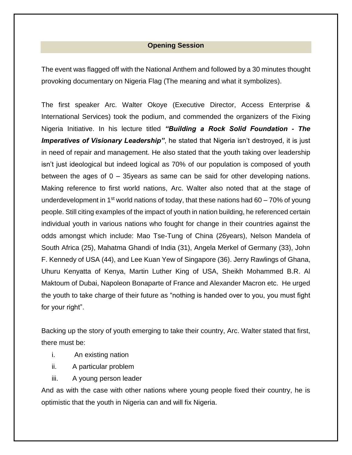### **Opening Session**

The event was flagged off with the National Anthem and followed by a 30 minutes thought provoking documentary on Nigeria Flag (The meaning and what it symbolizes).

The first speaker Arc. Walter Okoye (Executive Director, Access Enterprise & International Services) took the podium, and commended the organizers of the Fixing Nigeria Initiative. In his lecture titled *"Building a Rock Solid Foundation - The*  **Imperatives of Visionary Leadership**", he stated that Nigeria isn't destroyed, it is just in need of repair and management. He also stated that the youth taking over leadership isn't just ideological but indeed logical as 70% of our population is composed of youth between the ages of 0 – 35years as same can be said for other developing nations. Making reference to first world nations, Arc. Walter also noted that at the stage of underdevelopment in 1<sup>st</sup> world nations of today, that these nations had 60 – 70% of young people. Still citing examples of the impact of youth in nation building, he referenced certain individual youth in various nations who fought for change in their countries against the odds amongst which include: Mao Tse-Tung of China (26years), Nelson Mandela of South Africa (25), Mahatma Ghandi of India (31), Angela Merkel of Germany (33), John F. Kennedy of USA (44), and Lee Kuan Yew of Singapore (36). Jerry Rawlings of Ghana, Uhuru Kenyatta of Kenya, Martin Luther King of USA, Sheikh Mohammed B.R. Al Maktoum of Dubai, Napoleon Bonaparte of France and Alexander Macron etc. He urged the youth to take charge of their future as "nothing is handed over to you, you must fight for your right".

Backing up the story of youth emerging to take their country, Arc. Walter stated that first, there must be:

- i. An existing nation
- ii. A particular problem
- iii. A young person leader

And as with the case with other nations where young people fixed their country, he is optimistic that the youth in Nigeria can and will fix Nigeria.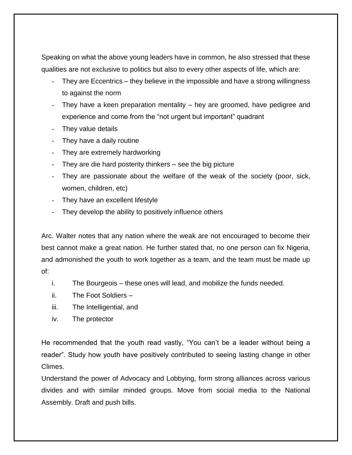Speaking on what the above young leaders have in common, he also stressed that these qualities are not exclusive to politics but also to every other aspects of life, which are:

- They are Eccentrics they believe in the impossible and have a strong willingness to against the norm
- They have a keen preparation mentality  $-$  hey are groomed, have pedigree and experience and come from the "not urgent but important" quadrant
- They value details
- They have a daily routine
- They are extremely hardworking
- They are die hard posterity thinkers  $-$  see the big picture
- They are passionate about the welfare of the weak of the society (poor, sick, women, children, etc)
- They have an excellent lifestyle
- They develop the ability to positively influence others

Arc. Walter notes that any nation where the weak are not encouraged to become their best cannot make a great nation. He further stated that, no one person can fix Nigeria, and admonished the youth to work together as a team, and the team must be made up of:

- i. The Bourgeois these ones will lead, and mobilize the funds needed.
- ii. The Foot Soldiers –
- iii. The Intelligential, and
- iv. The protector

He recommended that the youth read vastly, "You can't be a leader without being a reader". Study how youth have positively contributed to seeing lasting change in other Climes.

Understand the power of Advocacy and Lobbying, form strong alliances across various divides and with similar minded groups. Move from social media to the National Assembly. Draft and push bills.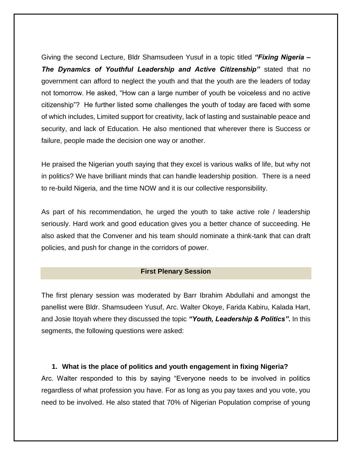Giving the second Lecture, Bldr Shamsudeen Yusuf in a topic titled *"Fixing Nigeria – The Dynamics of Youthful Leadership and Active Citizenship"* stated that no government can afford to neglect the youth and that the youth are the leaders of today not tomorrow. He asked, "How can a large number of youth be voiceless and no active citizenship"? He further listed some challenges the youth of today are faced with some of which includes, Limited support for creativity, lack of lasting and sustainable peace and security, and lack of Education. He also mentioned that wherever there is Success or failure, people made the decision one way or another.

He praised the Nigerian youth saying that they excel is various walks of life, but why not in politics? We have brilliant minds that can handle leadership position. There is a need to re-build Nigeria, and the time NOW and it is our collective responsibility.

As part of his recommendation, he urged the youth to take active role / leadership seriously. Hard work and good education gives you a better chance of succeeding. He also asked that the Convener and his team should nominate a think-tank that can draft policies, and push for change in the corridors of power.

#### **First Plenary Session**

The first plenary session was moderated by Barr Ibrahim Abdullahi and amongst the panellist were Bldr. Shamsudeen Yusuf, Arc. Walter Okoye, Farida Kabiru, Kalada Hart, and Josie Itoyah where they discussed the topic *"Youth, Leadership & Politics".* In this segments, the following questions were asked:

### **1. What is the place of politics and youth engagement in fixing Nigeria?**

Arc. Walter responded to this by saying "Everyone needs to be involved in politics regardless of what profession you have. For as long as you pay taxes and you vote, you need to be involved. He also stated that 70% of Nigerian Population comprise of young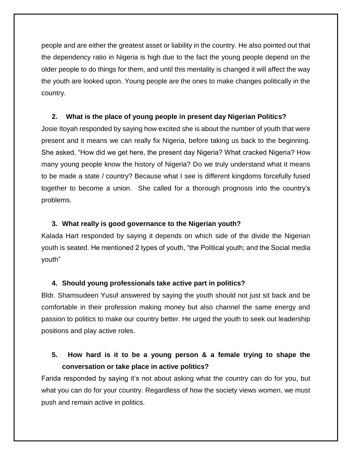people and are either the greatest asset or liability in the country. He also pointed out that the dependency ratio in Nigeria is high due to the fact the young people depend on the older people to do things for them, and until this mentality is changed it will affect the way the youth are looked upon. Young people are the ones to make changes politically in the country.

### **2. What is the place of young people in present day Nigerian Politics?**

Josie Itoyah responded by saying how excited she is about the number of youth that were present and it means we can really fix Nigeria, before taking us back to the beginning. She asked, "How did we get here, the present day Nigeria? What cracked Nigeria? How many young people know the history of Nigeria? Do we truly understand what it means to be made a state / country? Because what I see is different kingdoms forcefully fused together to become a union. She called for a thorough prognosis into the country's problems.

### **3. What really is good governance to the Nigerian youth?**

Kalada Hart responded by saying it depends on which side of the divide the Nigerian youth is seated. He mentioned 2 types of youth, "the Political youth; and the Social media youth"

## **4. Should young professionals take active part in politics?**

Bldr. Shamsudeen Yusuf answered by saying the youth should not just sit back and be comfortable in their profession making money but also channel the same energy and passion to politics to make our country better. He urged the youth to seek out leadership positions and play active roles.

# **5. How hard is it to be a young person & a female trying to shape the conversation or take place in active politics?**

Farida responded by saying it's not about asking what the country can do for you, but what you can do for your country. Regardless of how the society views women, we must push and remain active in politics.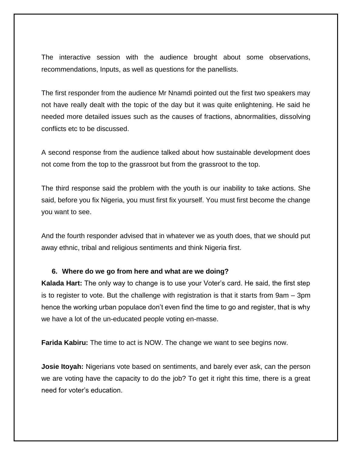The interactive session with the audience brought about some observations, recommendations, Inputs, as well as questions for the panellists.

The first responder from the audience Mr Nnamdi pointed out the first two speakers may not have really dealt with the topic of the day but it was quite enlightening. He said he needed more detailed issues such as the causes of fractions, abnormalities, dissolving conflicts etc to be discussed.

A second response from the audience talked about how sustainable development does not come from the top to the grassroot but from the grassroot to the top.

The third response said the problem with the youth is our inability to take actions. She said, before you fix Nigeria, you must first fix yourself. You must first become the change you want to see.

And the fourth responder advised that in whatever we as youth does, that we should put away ethnic, tribal and religious sentiments and think Nigeria first.

#### **6. Where do we go from here and what are we doing?**

**Kalada Hart:** The only way to change is to use your Voter's card. He said, the first step is to register to vote. But the challenge with registration is that it starts from 9am – 3pm hence the working urban populace don't even find the time to go and register, that is why we have a lot of the un-educated people voting en-masse.

**Farida Kabiru:** The time to act is NOW. The change we want to see begins now.

**Josie Itoyah:** Nigerians vote based on sentiments, and barely ever ask, can the person we are voting have the capacity to do the job? To get it right this time, there is a great need for voter's education.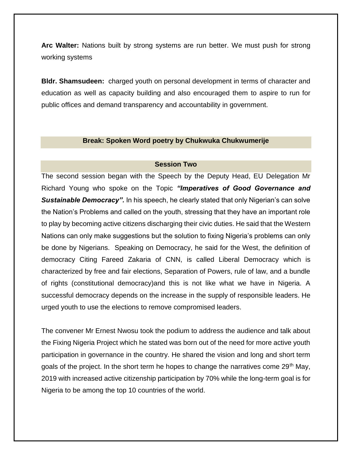**Arc Walter:** Nations built by strong systems are run better. We must push for strong working systems

**Bldr. Shamsudeen:** charged youth on personal development in terms of character and education as well as capacity building and also encouraged them to aspire to run for public offices and demand transparency and accountability in government.

#### **Break: Spoken Word poetry by Chukwuka Chukwumerije**

#### **Session Two**

The second session began with the Speech by the Deputy Head, EU Delegation Mr Richard Young who spoke on the Topic *"Imperatives of Good Governance and Sustainable Democracy".* In his speech, he clearly stated that only Nigerian's can solve the Nation's Problems and called on the youth, stressing that they have an important role to play by becoming active citizens discharging their civic duties. He said that the Western Nations can only make suggestions but the solution to fixing Nigeria's problems can only be done by Nigerians. Speaking on Democracy, he said for the West, the definition of democracy Citing Fareed Zakaria of CNN, is called Liberal Democracy which is characterized by free and fair elections, Separation of Powers, rule of law, and a bundle of rights (constitutional democracy)and this is not like what we have in Nigeria. A successful democracy depends on the increase in the supply of responsible leaders. He urged youth to use the elections to remove compromised leaders.

The convener Mr Ernest Nwosu took the podium to address the audience and talk about the Fixing Nigeria Project which he stated was born out of the need for more active youth participation in governance in the country. He shared the vision and long and short term goals of the project. In the short term he hopes to change the narratives come  $29<sup>th</sup>$  May, 2019 with increased active citizenship participation by 70% while the long-term goal is for Nigeria to be among the top 10 countries of the world.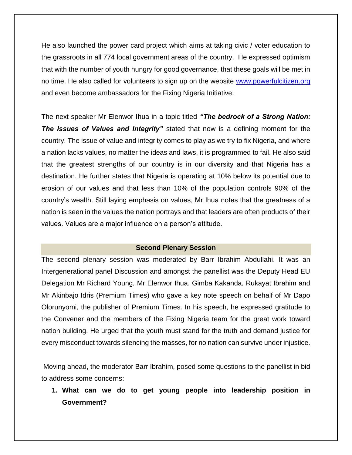He also launched the power card project which aims at taking civic / voter education to the grassroots in all 774 local government areas of the country. He expressed optimism that with the number of youth hungry for good governance, that these goals will be met in no time. He also called for volunteers to sign up on the website [www.powerfulcitizen.org](http://www.powerfulcitizen.org/) and even become ambassadors for the Fixing Nigeria Initiative.

The next speaker Mr Elenwor Ihua in a topic titled *"The bedrock of a Strong Nation: The Issues of Values and Integrity"* stated that now is a defining moment for the country. The issue of value and integrity comes to play as we try to fix Nigeria, and where a nation lacks values, no matter the ideas and laws, it is programmed to fail. He also said that the greatest strengths of our country is in our diversity and that Nigeria has a destination. He further states that Nigeria is operating at 10% below its potential due to erosion of our values and that less than 10% of the population controls 90% of the country's wealth. Still laying emphasis on values, Mr Ihua notes that the greatness of a nation is seen in the values the nation portrays and that leaders are often products of their values. Values are a major influence on a person's attitude.

#### **Second Plenary Session**

The second plenary session was moderated by Barr Ibrahim Abdullahi. It was an Intergenerational panel Discussion and amongst the panellist was the Deputy Head EU Delegation Mr Richard Young, Mr Elenwor Ihua, Gimba Kakanda, Rukayat Ibrahim and Mr Akinbajo Idris (Premium Times) who gave a key note speech on behalf of Mr Dapo Olorunyomi, the publisher of Premium Times. In his speech, he expressed gratitude to the Convener and the members of the Fixing Nigeria team for the great work toward nation building. He urged that the youth must stand for the truth and demand justice for every misconduct towards silencing the masses, for no nation can survive under injustice.

Moving ahead, the moderator Barr Ibrahim, posed some questions to the panellist in bid to address some concerns:

**1. What can we do to get young people into leadership position in Government?**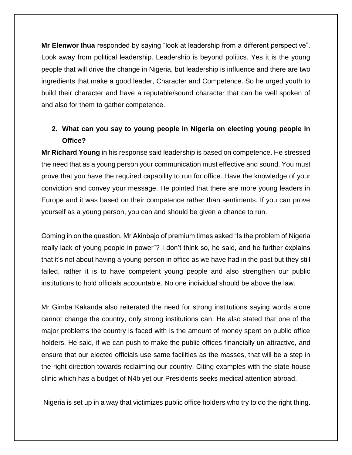**Mr Elenwor Ihua** responded by saying "look at leadership from a different perspective". Look away from political leadership. Leadership is beyond politics. Yes it is the young people that will drive the change in Nigeria, but leadership is influence and there are two ingredients that make a good leader, Character and Competence. So he urged youth to build their character and have a reputable/sound character that can be well spoken of and also for them to gather competence.

# **2. What can you say to young people in Nigeria on electing young people in Office?**

**Mr Richard Young** in his response said leadership is based on competence. He stressed the need that as a young person your communication must effective and sound. You must prove that you have the required capability to run for office. Have the knowledge of your conviction and convey your message. He pointed that there are more young leaders in Europe and it was based on their competence rather than sentiments. If you can prove yourself as a young person, you can and should be given a chance to run.

Coming in on the question, Mr Akinbajo of premium times asked "Is the problem of Nigeria really lack of young people in power"? I don't think so, he said, and he further explains that it's not about having a young person in office as we have had in the past but they still failed, rather it is to have competent young people and also strengthen our public institutions to hold officials accountable. No one individual should be above the law.

Mr Gimba Kakanda also reiterated the need for strong institutions saying words alone cannot change the country, only strong institutions can. He also stated that one of the major problems the country is faced with is the amount of money spent on public office holders. He said, if we can push to make the public offices financially un-attractive, and ensure that our elected officials use same facilities as the masses, that will be a step in the right direction towards reclaiming our country. Citing examples with the state house clinic which has a budget of N4b yet our Presidents seeks medical attention abroad.

Nigeria is set up in a way that victimizes public office holders who try to do the right thing.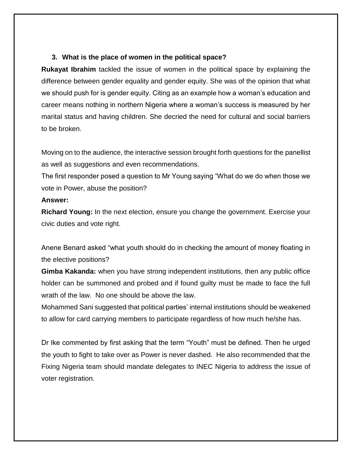### **3. What is the place of women in the political space?**

**Rukayat Ibrahim** tackled the issue of women in the political space by explaining the difference between gender equality and gender equity. She was of the opinion that what we should push for is gender equity. Citing as an example how a woman's education and career means nothing in northern Nigeria where a woman's success is measured by her marital status and having children. She decried the need for cultural and social barriers to be broken.

Moving on to the audience, the interactive session brought forth questions for the panellist as well as suggestions and even recommendations.

The first responder posed a question to Mr Young saying "What do we do when those we vote in Power, abuse the position?

#### **Answer:**

**Richard Young:** In the next election, ensure you change the government. Exercise your civic duties and vote right.

Anene Benard asked "what youth should do in checking the amount of money floating in the elective positions?

**Gimba Kakanda:** when you have strong independent institutions, then any public office holder can be summoned and probed and if found guilty must be made to face the full wrath of the law. No one should be above the law.

Mohammed Sani suggested that political parties' internal institutions should be weakened to allow for card carrying members to participate regardless of how much he/she has.

Dr Ike commented by first asking that the term "Youth" must be defined. Then he urged the youth to fight to take over as Power is never dashed. He also recommended that the Fixing Nigeria team should mandate delegates to INEC Nigeria to address the issue of voter registration.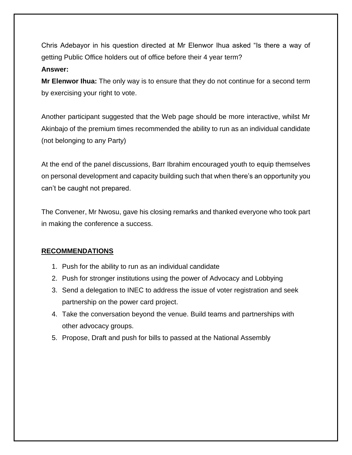Chris Adebayor in his question directed at Mr Elenwor Ihua asked "Is there a way of getting Public Office holders out of office before their 4 year term?

### **Answer:**

**Mr Elenwor Ihua:** The only way is to ensure that they do not continue for a second term by exercising your right to vote.

Another participant suggested that the Web page should be more interactive, whilst Mr Akinbajo of the premium times recommended the ability to run as an individual candidate (not belonging to any Party)

At the end of the panel discussions, Barr Ibrahim encouraged youth to equip themselves on personal development and capacity building such that when there's an opportunity you can't be caught not prepared.

The Convener, Mr Nwosu, gave his closing remarks and thanked everyone who took part in making the conference a success.

# **RECOMMENDATIONS**

- 1. Push for the ability to run as an individual candidate
- 2. Push for stronger institutions using the power of Advocacy and Lobbying
- 3. Send a delegation to INEC to address the issue of voter registration and seek partnership on the power card project.
- 4. Take the conversation beyond the venue. Build teams and partnerships with other advocacy groups.
- 5. Propose, Draft and push for bills to passed at the National Assembly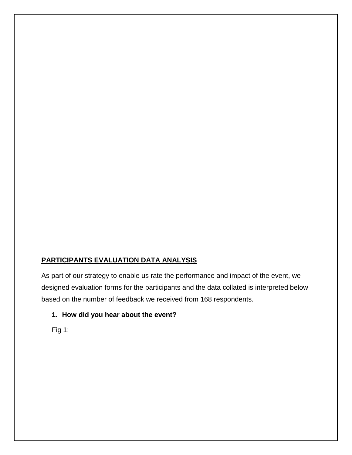# **PARTICIPANTS EVALUATION DATA ANALYSIS**

As part of our strategy to enable us rate the performance and impact of the event, we designed evaluation forms for the participants and the data collated is interpreted below based on the number of feedback we received from 168 respondents.

## **1. How did you hear about the event?**

Fig 1: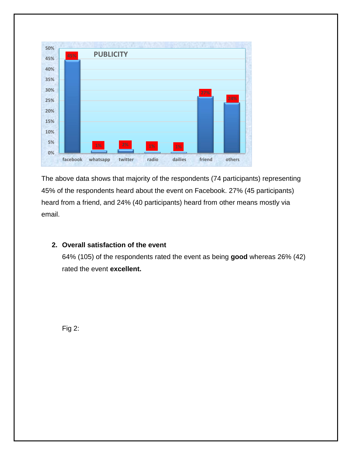

The above data shows that majority of the respondents (74 participants) representing 45% of the respondents heard about the event on Facebook. 27% (45 participants) heard from a friend, and 24% (40 participants) heard from other means mostly via email.

## **2. Overall satisfaction of the event**

64% (105) of the respondents rated the event as being **good** whereas 26% (42) rated the event **excellent.**

Fig 2: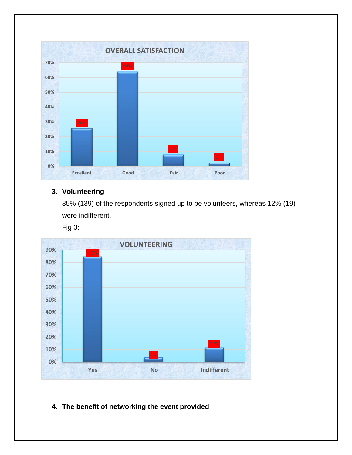

# **3. Volunteering**

85% (139) of the respondents signed up to be volunteers, whereas 12% (19) were indifferent.

Fig 3:



# **4. The benefit of networking the event provided**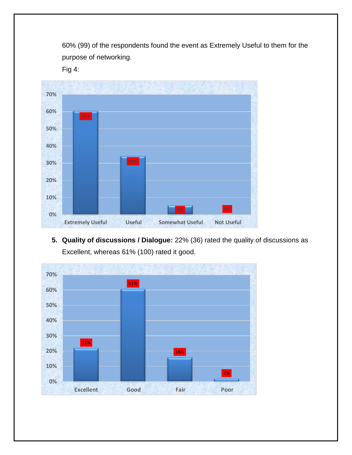60% (99) of the respondents found the event as Extremely Useful to them for the purpose of networking.

Fig 4:



**5. Quality of discussions / Dialogue:** 22% (36) rated the quality of discussions as Excellent, whereas 61% (100) rated it good.

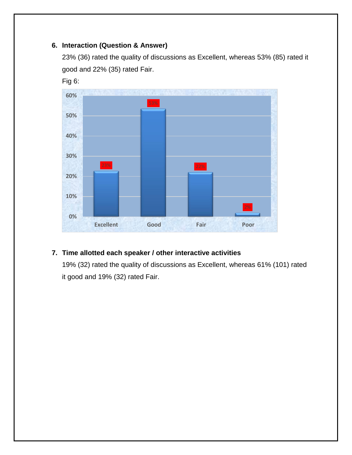## **6. Interaction (Question & Answer)**

23% (36) rated the quality of discussions as Excellent, whereas 53% (85) rated it good and 22% (35) rated Fair.



# **7. Time allotted each speaker / other interactive activities**

19% (32) rated the quality of discussions as Excellent, whereas 61% (101) rated it good and 19% (32) rated Fair.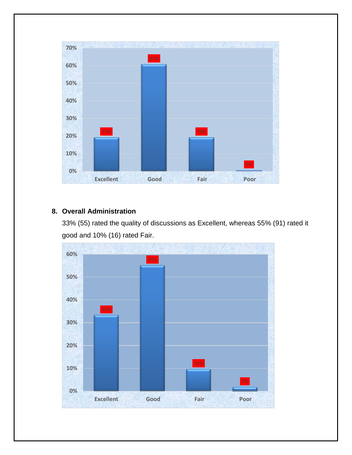

## **8. Overall Administration**

33% (55) rated the quality of discussions as Excellent, whereas 55% (91) rated it good and 10% (16) rated Fair.

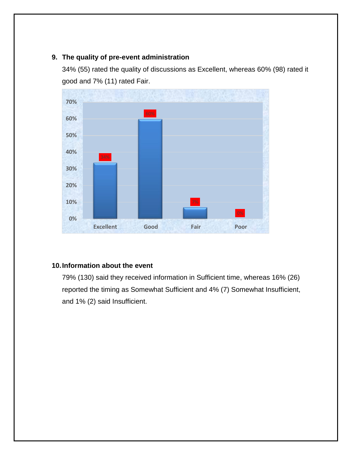## **9. The quality of pre-event administration**

34% (55) rated the quality of discussions as Excellent, whereas 60% (98) rated it good and 7% (11) rated Fair.



## **10.Information about the event**

79% (130) said they received information in Sufficient time, whereas 16% (26) reported the timing as Somewhat Sufficient and 4% (7) Somewhat Insufficient, and 1% (2) said Insufficient.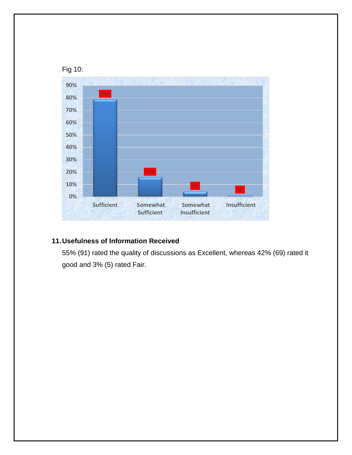

# **11.Usefulness of Information Received**

55% (91) rated the quality of discussions as Excellent, whereas 42% (69) rated it good and 3% (5) rated Fair.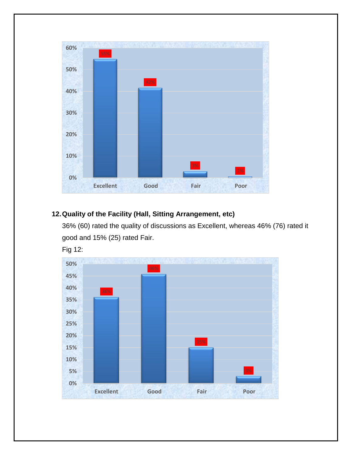

# **12.Quality of the Facility (Hall, Sitting Arrangement, etc)**

36% (60) rated the quality of discussions as Excellent, whereas 46% (76) rated it good and 15% (25) rated Fair.

Fig 12: